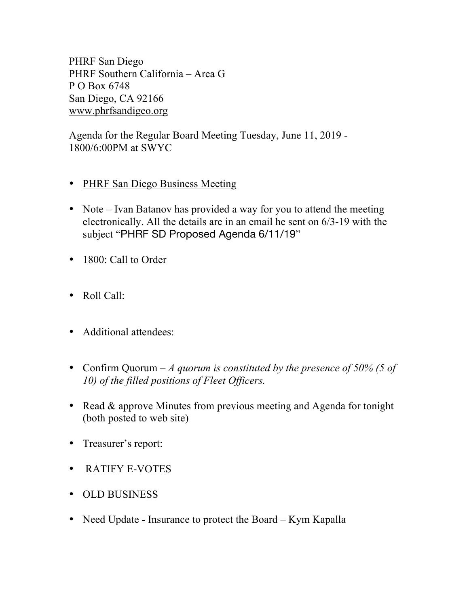PHRF San Diego PHRF Southern California – Area G P O Box 6748 San Diego, CA 92166 www.phrfsandigeo.org

Agenda for the Regular Board Meeting Tuesday, June 11, 2019 - 1800/6:00PM at SWYC

- PHRF San Diego Business Meeting
- Note Ivan Batanov has provided a way for you to attend the meeting electronically. All the details are in an email he sent on 6/3-19 with the subject "PHRF SD Proposed Agenda 6/11/19"
- 1800: Call to Order
- Roll Call:
- Additional attendees:
- Confirm Quorum *A quorum is constituted by the presence of 50% (5 of 10) of the filled positions of Fleet Officers.*
- Read & approve Minutes from previous meeting and Agenda for tonight (both posted to web site)
- Treasurer's report:
- RATIFY E-VOTES
- OLD BUSINESS
- Need Update Insurance to protect the Board Kym Kapalla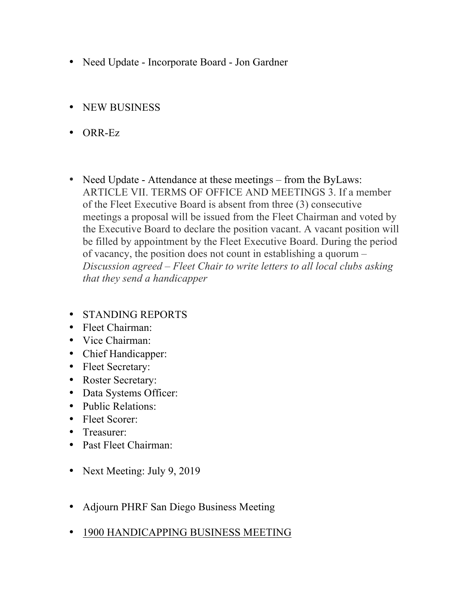- Need Update Incorporate Board Jon Gardner
- NEW BUSINESS
- ORR-Ez
- Need Update Attendance at these meetings from the ByLaws: ARTICLE VII. TERMS OF OFFICE AND MEETINGS 3. If a member of the Fleet Executive Board is absent from three (3) consecutive meetings a proposal will be issued from the Fleet Chairman and voted by the Executive Board to declare the position vacant. A vacant position will be filled by appointment by the Fleet Executive Board. During the period of vacancy, the position does not count in establishing a quorum – *Discussion agreed – Fleet Chair to write letters to all local clubs asking that they send a handicapper*
- STANDING REPORTS
- Fleet Chairman:
- Vice Chairman:
- Chief Handicapper:
- Fleet Secretary:
- Roster Secretary:
- Data Systems Officer:
- Public Relations:
- Fleet Scorer:
- Treasurer:
- Past Fleet Chairman:
- Next Meeting: July 9, 2019
- Adjourn PHRF San Diego Business Meeting
- 1900 HANDICAPPING BUSINESS MEETING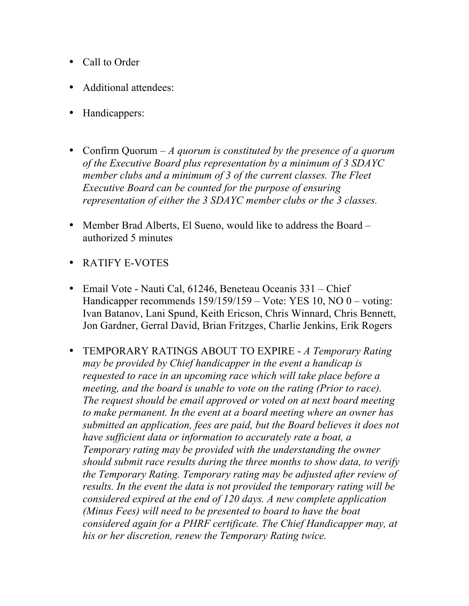- Call to Order
- Additional attendees:
- Handicappers:
- Confirm Quorum *A quorum is constituted by the presence of a quorum of the Executive Board plus representation by a minimum of 3 SDAYC member clubs and a minimum of 3 of the current classes. The Fleet Executive Board can be counted for the purpose of ensuring representation of either the 3 SDAYC member clubs or the 3 classes.*
- Member Brad Alberts, El Sueno, would like to address the Board authorized 5 minutes
- RATIFY E-VOTES
- Email Vote Nauti Cal, 61246, Beneteau Oceanis 331 Chief Handicapper recommends 159/159/159 – Vote: YES 10, NO 0 – voting: Ivan Batanov, Lani Spund, Keith Ericson, Chris Winnard, Chris Bennett, Jon Gardner, Gerral David, Brian Fritzges, Charlie Jenkins, Erik Rogers
- TEMPORARY RATINGS ABOUT TO EXPIRE *A Temporary Rating may be provided by Chief handicapper in the event a handicap is requested to race in an upcoming race which will take place before a meeting, and the board is unable to vote on the rating (Prior to race). The request should be email approved or voted on at next board meeting to make permanent. In the event at a board meeting where an owner has submitted an application, fees are paid, but the Board believes it does not have sufficient data or information to accurately rate a boat, a Temporary rating may be provided with the understanding the owner should submit race results during the three months to show data, to verify the Temporary Rating. Temporary rating may be adjusted after review of results. In the event the data is not provided the temporary rating will be considered expired at the end of 120 days. A new complete application (Minus Fees) will need to be presented to board to have the boat considered again for a PHRF certificate. The Chief Handicapper may, at his or her discretion, renew the Temporary Rating twice.*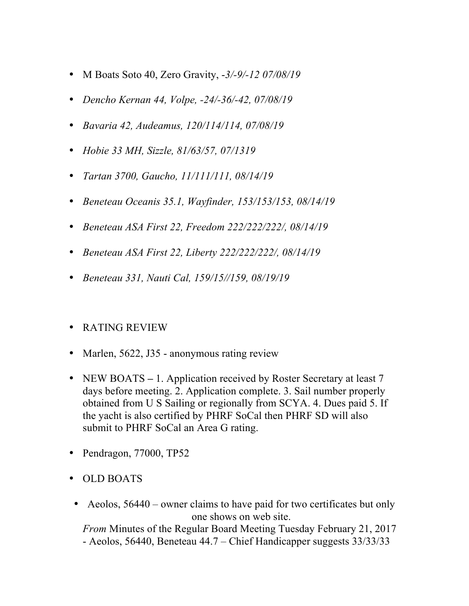- M Boats Soto 40, Zero Gravity, -*3/-9/-12 07/08/19*
- *Dencho Kernan 44, Volpe, -24/-36/-42, 07/08/19*
- *Bavaria 42, Audeamus, 120/114/114, 07/08/19*
- *Hobie 33 MH, Sizzle, 81/63/57, 07/1319*
- *Tartan 3700, Gaucho, 11/111/111, 08/14/19*
- *Beneteau Oceanis 35.1, Wayfinder, 153/153/153, 08/14/19*
- *Beneteau ASA First 22, Freedom 222/222/222/, 08/14/19*
- *Beneteau ASA First 22, Liberty 222/222/222/, 08/14/19*
- *Beneteau 331, Nauti Cal, 159/15//159, 08/19/19*
- RATING REVIEW
- Marlen, 5622, J35 anonymous rating review
- NEW BOATS 1. Application received by Roster Secretary at least 7 days before meeting. 2. Application complete. 3. Sail number properly obtained from U S Sailing or regionally from SCYA. 4. Dues paid 5. If the yacht is also certified by PHRF SoCal then PHRF SD will also submit to PHRF SoCal an Area G rating.
- Pendragon, 77000, TP52
- OLD BOATS
- Aeolos, 56440 owner claims to have paid for two certificates but only one shows on web site.

*From* Minutes of the Regular Board Meeting Tuesday February 21, 2017 - Aeolos, 56440, Beneteau 44.7 – Chief Handicapper suggests 33/33/33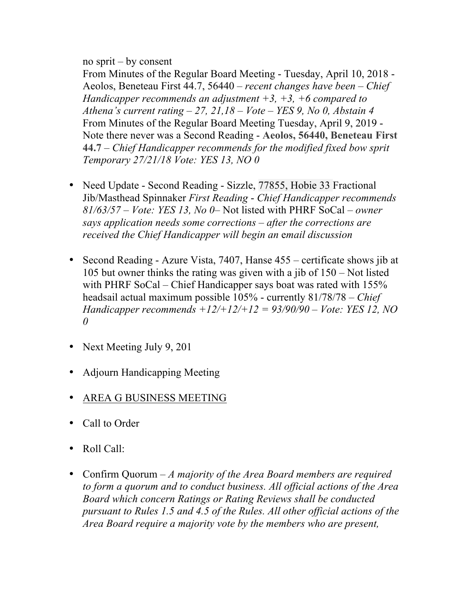## no sprit – by consent

From Minutes of the Regular Board Meeting - Tuesday, April 10, 2018 - Aeolos, Beneteau First 44.7, 56440 – *recent changes have been – Chief Handicapper recommends an adjustment +3, +3, +6 compared to Athena's current rating – 27, 21,18 – Vote – YES 9, No 0, Abstain 4* From Minutes of the Regular Board Meeting Tuesday, April 9, 2019 - Note there never was a Second Reading - **Aeolos, 56440, Beneteau First 44.7** – *Chief Handicapper recommends for the modified fixed bow sprit Temporary 27/21/18 Vote: YES 13, NO 0* 

- Need Update Second Reading Sizzle, 77855, Hobie 33 Fractional Jib/Masthead Spinnaker *First Reading* - *Chief Handicapper recommends 81/63/57 – Vote: YES 13, No 0*– Not listed with PHRF SoCal – *owner says application needs some corrections – after the corrections are received the Chief Handicapper will begin an* e*mail discussion*
- Second Reading Azure Vista, 7407, Hanse 455 certificate shows jib at 105 but owner thinks the rating was given with a jib of 150 – Not listed with PHRF SoCal – Chief Handicapper says boat was rated with 155% headsail actual maximum possible 105% - currently 81/78/78 – *Chief Handicapper recommends +12/+12/+12 = 93/90/90 – Vote: YES 12, NO 0*
- Next Meeting July 9, 201
- Adjourn Handicapping Meeting
- AREA G BUSINESS MEETING
- Call to Order
- Roll Call:
- Confirm Quorum *A majority of the Area Board members are required to form a quorum and to conduct business. All official actions of the Area Board which concern Ratings or Rating Reviews shall be conducted pursuant to Rules 1.5 and 4.5 of the Rules. All other official actions of the Area Board require a majority vote by the members who are present,*